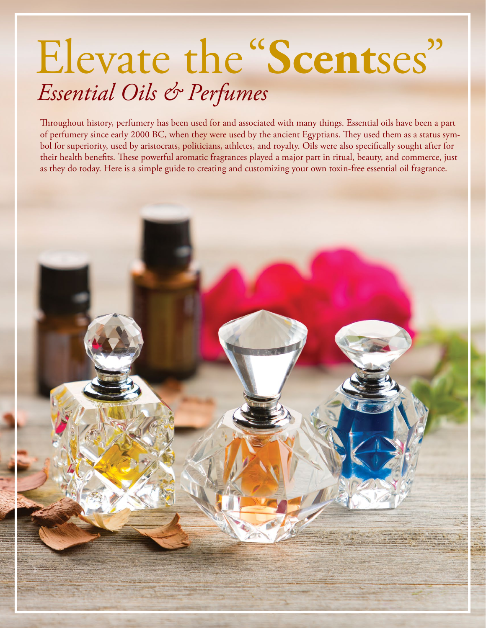# Elevate the "**Scent**ses" *Essential Oils & Perfumes*

Throughout history, perfumery has been used for and associated with many things. Essential oils have been a part of perfumery since early 2000 BC, when they were used by the ancient Egyptians. They used them as a status symbol for superiority, used by aristocrats, politicians, athletes, and royalty. Oils were also specifically sought after for their health benefits. These powerful aromatic fragrances played a major part in ritual, beauty, and commerce, just as they do today. Here is a simple guide to creating and customizing your own toxin-free essential oil fragrance.